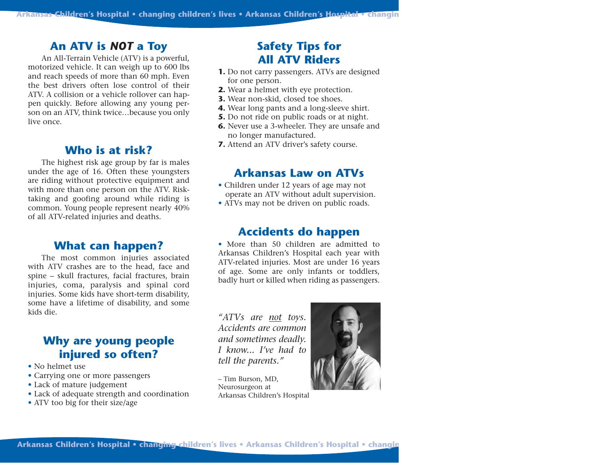#### **An ATV is** *NOT* **a Toy**

An All-Terrain Vehicle (ATV) is a powerful, motorized vehicle. It can weigh up to 600 lbs and reach speeds of more than 60 mph. Even the best drivers often lose control of their ATV. A collision or a vehicle rollover can happen quickly. Before allowing any young person on an ATV, think twice…because you only live once.

#### **Who is at risk?**

The highest risk age group by far is males under the age of 16. Often these youngsters are riding without protective equipment and with more than one person on the ATV. Risktaking and goofing around while riding is common. Young people represent nearly 40% of all ATV-related injuries and deaths.

#### **What can happen?**

The most common injuries associated with ATV crashes are to the head, face and spine – skull fractures, facial fractures, brain injuries, coma, paralysis and spinal cord injuries. Some kids have short-term disability, some have a lifetime of disability, and some kids die.

### **Why are young people injured so often?**

- No helmet use
- Carrying one or more passengers
- Lack of mature judgement
- Lack of adequate strength and coordination
- ATV too big for their size/age

## **Safety Tips for All ATV Riders**

- **1.** Do not carry passengers. ATVs are designed for one person.
- **2.** Wear a helmet with eye protection.
- **3.** Wear non-skid, closed toe shoes.
- **4.** Wear long pants and a long-sleeve shirt.
- **5.** Do not ride on public roads or at night.
- **6.** Never use a 3-wheeler. They are unsafe and no longer manufactured.
- **7.** Attend an ATV driver's safety course.

#### **Arkansas Law on ATVs**

- Children under 12 years of age may not operate an ATV without adult supervision.
- ATVs may not be driven on public roads.

#### **Accidents do happen**

• More than 50 children are admitted to Arkansas Children's Hospital each year with ATV-related injuries. Most are under 16 years of age. Some are only infants or toddlers, badly hurt or killed when riding as passengers.

*"ATVs are not toys. Accidents are common and sometimes deadly. I know... I've had to tell the parents."*

– Tim Burson, MD, Neurosurgeon at Arkansas Children's Hospital